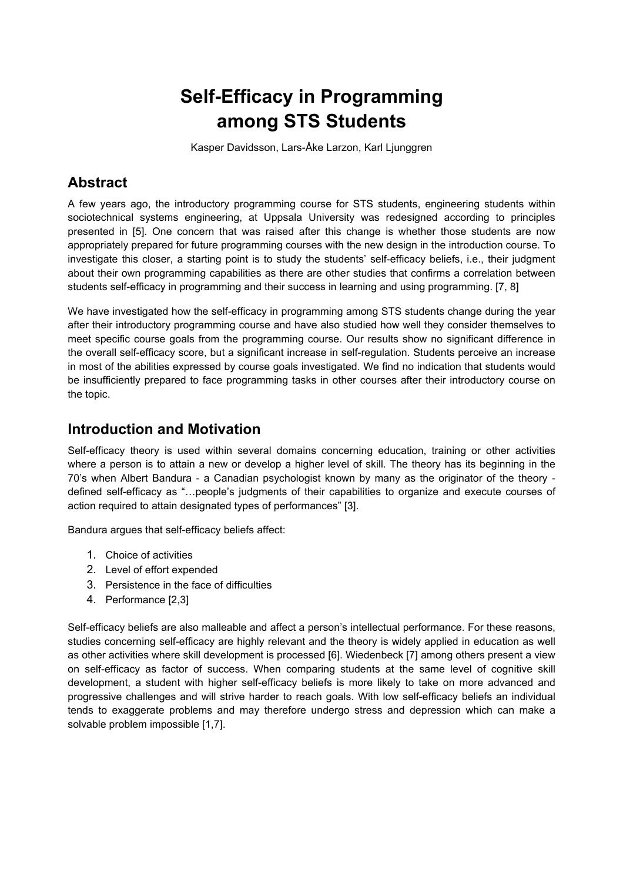# **Self-Efficacy in Programming among STS Students**

Kasper Davidsson, Lars-Åke Larzon, Karl Ljunggren

# **Abstract**

A few years ago, the introductory programming course for STS students, engineering students within sociotechnical systems engineering, at Uppsala University was redesigned according to principles presented in [5]. One concern that was raised after this change is whether those students are now appropriately prepared for future programming courses with the new design in the introduction course. To investigate this closer, a starting point is to study the students' self-efficacy beliefs, i.e., their judgment about their own programming capabilities as there are other studies that confirms a correlation between students self-efficacy in programming and their success in learning and using programming. [7, 8]

We have investigated how the self-efficacy in programming among STS students change during the year after their introductory programming course and have also studied how well they consider themselves to meet specific course goals from the programming course. Our results show no significant difference in the overall self-efficacy score, but a significant increase in self-regulation. Students perceive an increase in most of the abilities expressed by course goals investigated. We find no indication that students would be insufficiently prepared to face programming tasks in other courses after their introductory course on the topic.

### **Introduction and Motivation**

Self-efficacy theory is used within several domains concerning education, training or other activities where a person is to attain a new or develop a higher level of skill. The theory has its beginning in the 70's when Albert Bandura - a Canadian psychologist known by many as the originator of the theory defined self-efficacy as "…people's judgments of their capabilities to organize and execute courses of action required to attain designated types of performances" [3].

Bandura argues that self-efficacy beliefs affect:

- 1. Choice of activities
- 2. Level of effort expended
- 3. Persistence in the face of difficulties
- 4. Performance [2,3]

Self-efficacy beliefs are also malleable and affect a person's intellectual performance. For these reasons, studies concerning self-efficacy are highly relevant and the theory is widely applied in education as well as other activities where skill development is processed [6]. Wiedenbeck [7] among others present a view on self-efficacy as factor of success. When comparing students at the same level of cognitive skill development, a student with higher self-efficacy beliefs is more likely to take on more advanced and progressive challenges and will strive harder to reach goals. With low self-efficacy beliefs an individual tends to exaggerate problems and may therefore undergo stress and depression which can make a solvable problem impossible [1,7].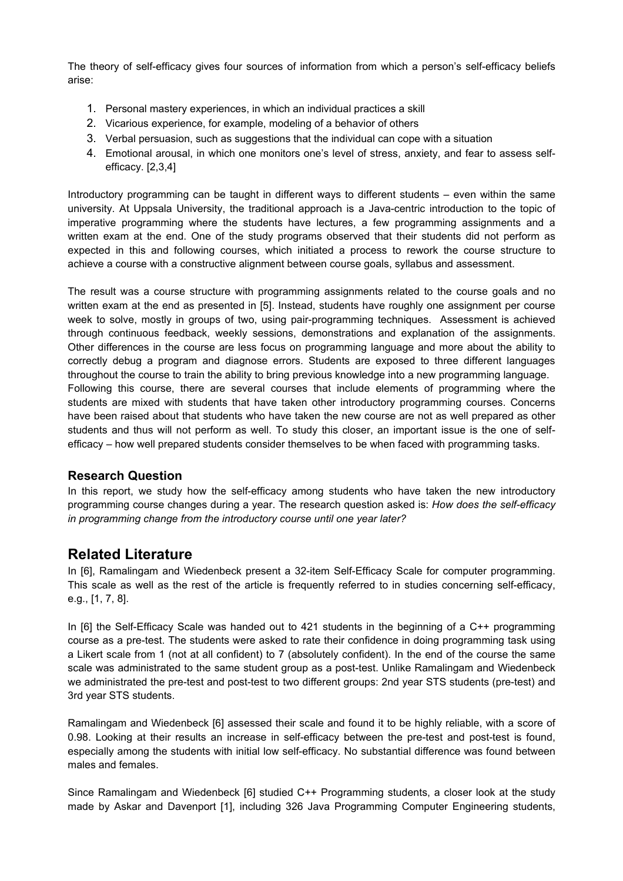The theory of self-efficacy gives four sources of information from which a person's self-efficacy beliefs arise:

- 1. Personal mastery experiences, in which an individual practices a skill
- 2. Vicarious experience, for example, modeling of a behavior of others
- 3. Verbal persuasion, such as suggestions that the individual can cope with a situation
- 4. Emotional arousal, in which one monitors one's level of stress, anxiety, and fear to assess selfefficacy. [2,3,4]

Introductory programming can be taught in different ways to different students – even within the same university. At Uppsala University, the traditional approach is a Java-centric introduction to the topic of imperative programming where the students have lectures, a few programming assignments and a written exam at the end. One of the study programs observed that their students did not perform as expected in this and following courses, which initiated a process to rework the course structure to achieve a course with a constructive alignment between course goals, syllabus and assessment.

The result was a course structure with programming assignments related to the course goals and no written exam at the end as presented in [5]. Instead, students have roughly one assignment per course week to solve, mostly in groups of two, using pair-programming techniques. Assessment is achieved through continuous feedback, weekly sessions, demonstrations and explanation of the assignments. Other differences in the course are less focus on programming language and more about the ability to correctly debug a program and diagnose errors. Students are exposed to three different languages throughout the course to train the ability to bring previous knowledge into a new programming language. Following this course, there are several courses that include elements of programming where the students are mixed with students that have taken other introductory programming courses. Concerns have been raised about that students who have taken the new course are not as well prepared as other students and thus will not perform as well. To study this closer, an important issue is the one of selfefficacy – how well prepared students consider themselves to be when faced with programming tasks.

#### **Research Question**

In this report, we study how the self-efficacy among students who have taken the new introductory programming course changes during a year. The research question asked is: *How does the self-efficacy in programming change from the introductory course until one year later?*

### **Related Literature**

In [6], Ramalingam and Wiedenbeck present a 32-item Self-Efficacy Scale for computer programming. This scale as well as the rest of the article is frequently referred to in studies concerning self-efficacy, e.g., [1, 7, 8].

In [6] the Self-Efficacy Scale was handed out to 421 students in the beginning of a C++ programming course as a pre-test. The students were asked to rate their confidence in doing programming task using a Likert scale from 1 (not at all confident) to 7 (absolutely confident). In the end of the course the same scale was administrated to the same student group as a post-test. Unlike Ramalingam and Wiedenbeck we administrated the pre-test and post-test to two different groups: 2nd year STS students (pre-test) and 3rd year STS students.

Ramalingam and Wiedenbeck [6] assessed their scale and found it to be highly reliable, with a score of 0.98. Looking at their results an increase in self-efficacy between the pre-test and post-test is found, especially among the students with initial low self-efficacy. No substantial difference was found between males and females.

Since Ramalingam and Wiedenbeck [6] studied C++ Programming students, a closer look at the study made by Askar and Davenport [1], including 326 Java Programming Computer Engineering students,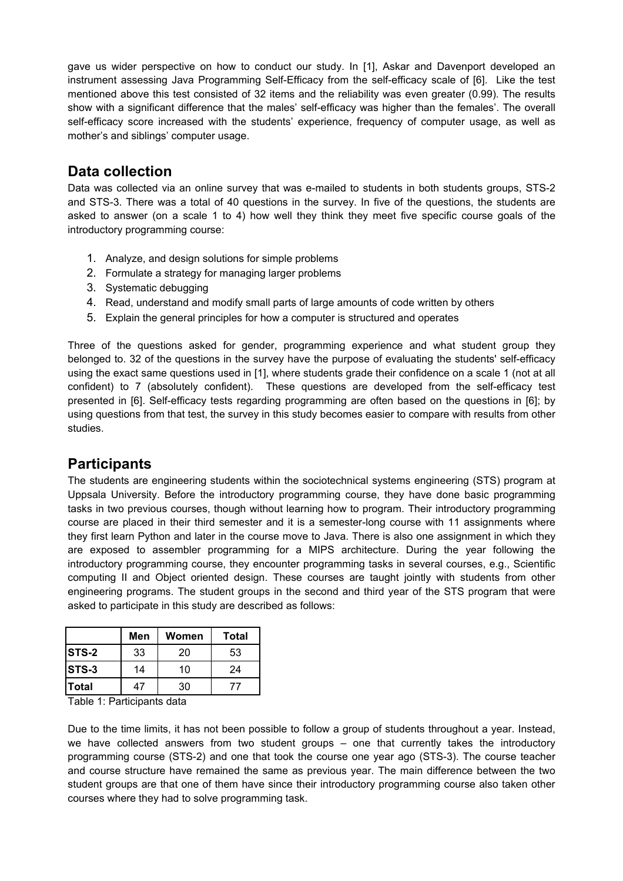gave us wider perspective on how to conduct our study. In [1], Askar and Davenport developed an instrument assessing Java Programming Self-Efficacy from the self-efficacy scale of [6]. Like the test mentioned above this test consisted of 32 items and the reliability was even greater (0.99). The results show with a significant difference that the males' self-efficacy was higher than the females'. The overall self-efficacy score increased with the students' experience, frequency of computer usage, as well as mother's and siblings' computer usage.

### **Data collection**

Data was collected via an online survey that was e-mailed to students in both students groups, STS-2 and STS-3. There was a total of 40 questions in the survey. In five of the questions, the students are asked to answer (on a scale 1 to 4) how well they think they meet five specific course goals of the introductory programming course:

- 1. Analyze, and design solutions for simple problems
- 2. Formulate a strategy for managing larger problems
- 3. Systematic debugging
- 4. Read, understand and modify small parts of large amounts of code written by others
- 5. Explain the general principles for how a computer is structured and operates

Three of the questions asked for gender, programming experience and what student group they belonged to. 32 of the questions in the survey have the purpose of evaluating the students' self-efficacy using the exact same questions used in [1], where students grade their confidence on a scale 1 (not at all confident) to 7 (absolutely confident). These questions are developed from the self-efficacy test presented in [6]. Self-efficacy tests regarding programming are often based on the questions in [6]; by using questions from that test, the survey in this study becomes easier to compare with results from other studies.

### **Participants**

The students are engineering students within the sociotechnical systems engineering (STS) program at Uppsala University. Before the introductory programming course, they have done basic programming tasks in two previous courses, though without learning how to program. Their introductory programming course are placed in their third semester and it is a semester-long course with 11 assignments where they first learn Python and later in the course move to Java. There is also one assignment in which they are exposed to assembler programming for a MIPS architecture. During the year following the introductory programming course, they encounter programming tasks in several courses, e.g., Scientific computing II and Object oriented design. These courses are taught jointly with students from other engineering programs. The student groups in the second and third year of the STS program that were asked to participate in this study are described as follows:

|              | Men | Women | Total |
|--------------|-----|-------|-------|
| <b>STS-2</b> | 33  | 20    | 53    |
| <b>STS-3</b> | 14  | 10    | 24    |
| lTotal       | 47  | 30    |       |

Table 1: Participants data

Due to the time limits, it has not been possible to follow a group of students throughout a year. Instead, we have collected answers from two student groups – one that currently takes the introductory programming course (STS-2) and one that took the course one year ago (STS-3). The course teacher and course structure have remained the same as previous year. The main difference between the two student groups are that one of them have since their introductory programming course also taken other courses where they had to solve programming task.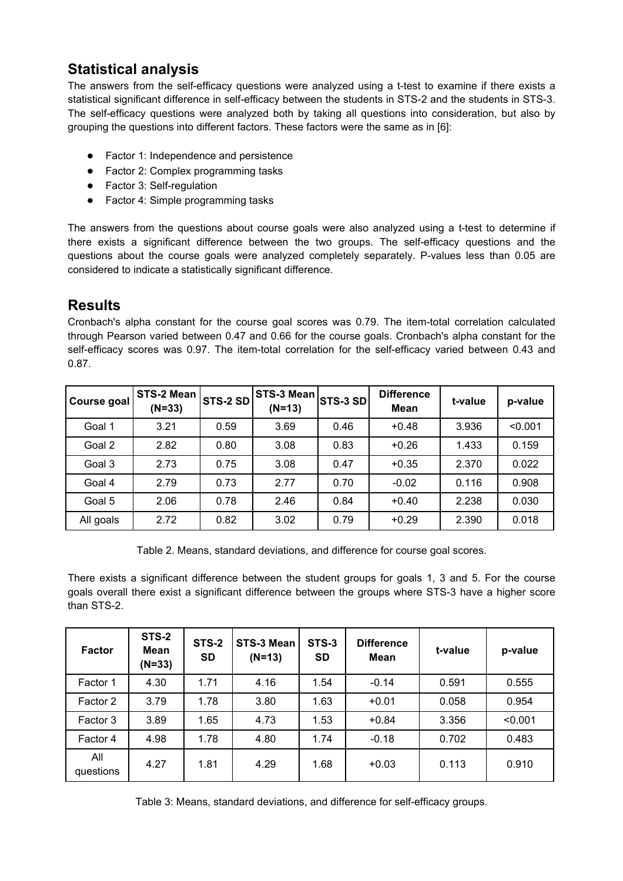## **Statistical analysis**

The answers from the self-efficacy questions were analyzed using a t-test to examine if there exists a statistical significant difference in self-efficacy between the students in STS-2 and the students in STS-3. The self-efficacy questions were analyzed both by taking all questions into consideration, but also by grouping the questions into different factors. These factors were the same as in [6]:

- Factor 1: Independence and persistence
- Factor 2: Complex programming tasks
- Factor 3: Self-regulation
- Factor 4: Simple programming tasks

The answers from the questions about course goals were also analyzed using a t-test to determine if there exists a significant difference between the two groups. The self-efficacy questions and the questions about the course goals were analyzed completely separately. P-values less than 0.05 are considered to indicate a statistically significant difference.

### **Results**

Cronbach's alpha constant for the course goal scores was 0.79. The item-total correlation calculated through Pearson varied between 0.47 and 0.66 for the course goals. Cronbach's alpha constant for the self-efficacy scores was 0.97. The item-total correlation for the self-efficacy varied between 0.43 and 0.87.

| Course goal | STS-2 Mean<br>$(N=33)$ | <b>STS-2 SD</b> | STS-3 Mean<br>$(N=13)$ | STS-3 SD | <b>Difference</b><br><b>Mean</b> | t-value | p-value |
|-------------|------------------------|-----------------|------------------------|----------|----------------------------------|---------|---------|
| Goal 1      | 3.21                   | 0.59            | 3.69                   | 0.46     | $+0.48$                          | 3.936   | < 0.001 |
| Goal 2      | 2.82                   | 0.80            | 3.08                   | 0.83     | $+0.26$                          | 1.433   | 0.159   |
| Goal 3      | 2.73                   | 0.75            | 3.08                   | 0.47     | $+0.35$                          | 2.370   | 0.022   |
| Goal 4      | 2.79                   | 0.73            | 2.77                   | 0.70     | $-0.02$                          | 0.116   | 0.908   |
| Goal 5      | 2.06                   | 0.78            | 2.46                   | 0.84     | $+0.40$                          | 2.238   | 0.030   |
| All goals   | 2.72                   | 0.82            | 3.02                   | 0.79     | $+0.29$                          | 2.390   | 0.018   |

Table 2. Means, standard deviations, and difference for course goal scores.

There exists a significant difference between the student groups for goals 1, 3 and 5. For the course goals overall there exist a significant difference between the groups where STS-3 have a higher score than STS-2.

| <b>Factor</b>    | <b>STS-2</b><br>Mean<br>$(N=33)$ | STS-2<br><b>SD</b> | STS-3 Mean<br>$(N=13)$ | <b>STS-3</b><br><b>SD</b> | <b>Difference</b><br>Mean | t-value | p-value |
|------------------|----------------------------------|--------------------|------------------------|---------------------------|---------------------------|---------|---------|
| Factor 1         | 4.30                             | 1.71               | 4.16                   | 1.54                      | $-0.14$                   | 0.591   | 0.555   |
| Factor 2         | 3.79                             | 1.78               | 3.80                   | 1.63                      | $+0.01$                   | 0.058   | 0.954   |
| Factor 3         | 3.89                             | 1.65               | 4.73                   | 1.53                      | $+0.84$                   | 3.356   | < 0.001 |
| Factor 4         | 4.98                             | 1.78               | 4.80                   | 1.74                      | $-0.18$                   | 0.702   | 0.483   |
| All<br>questions | 4.27                             | 1.81               | 4.29                   | 1.68                      | $+0.03$                   | 0.113   | 0.910   |

Table 3: Means, standard deviations, and difference for self-efficacy groups.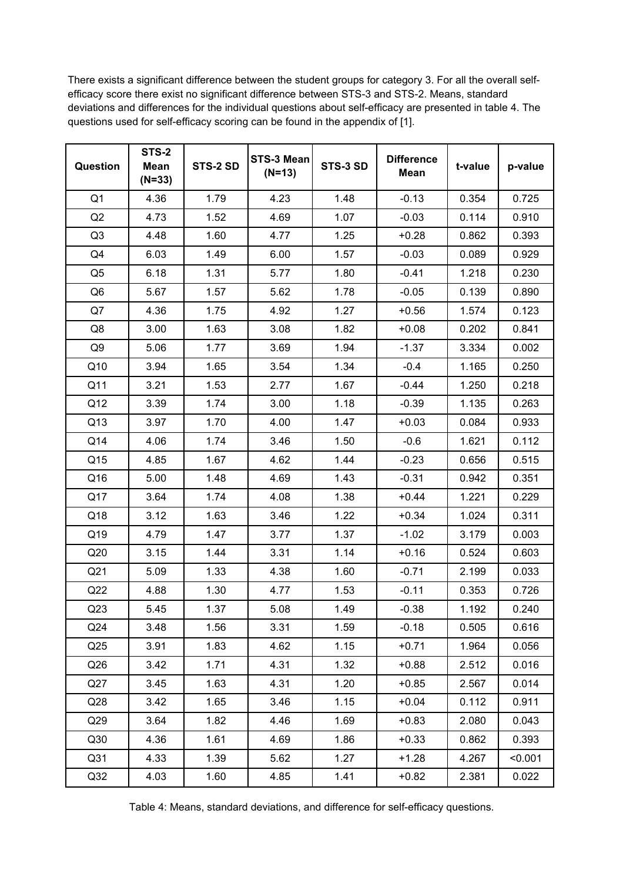There exists a significant difference between the student groups for category 3. For all the overall selfefficacy score there exist no significant difference between STS-3 and STS-2. Means, standard deviations and differences for the individual questions about self-efficacy are presented in table 4. The questions used for self-efficacy scoring can be found in the appendix of [1].

| Question        | <b>STS-2</b><br><b>Mean</b><br>$(N=33)$ | STS-2 SD | STS-3 Mean<br>$(N=13)$ | STS-3 SD | <b>Difference</b><br><b>Mean</b> | t-value | p-value |
|-----------------|-----------------------------------------|----------|------------------------|----------|----------------------------------|---------|---------|
| Q <sub>1</sub>  | 4.36                                    | 1.79     | 4.23                   | 1.48     | $-0.13$                          | 0.354   | 0.725   |
| Q2              | 4.73                                    | 1.52     | 4.69                   | 1.07     | $-0.03$                          | 0.114   | 0.910   |
| Q <sub>3</sub>  | 4.48                                    | 1.60     | 4.77                   | 1.25     | $+0.28$                          | 0.862   | 0.393   |
| Q4              | 6.03                                    | 1.49     | 6.00                   | 1.57     | $-0.03$                          | 0.089   | 0.929   |
| Q <sub>5</sub>  | 6.18                                    | 1.31     | 5.77                   | 1.80     | $-0.41$                          | 1.218   | 0.230   |
| Q <sub>6</sub>  | 5.67                                    | 1.57     | 5.62                   | 1.78     | $-0.05$                          | 0.139   | 0.890   |
| Q7              | 4.36                                    | 1.75     | 4.92                   | 1.27     | $+0.56$                          | 1.574   | 0.123   |
| Q8              | 3.00                                    | 1.63     | 3.08                   | 1.82     | $+0.08$                          | 0.202   | 0.841   |
| Q <sub>9</sub>  | 5.06                                    | 1.77     | 3.69                   | 1.94     | $-1.37$                          | 3.334   | 0.002   |
| Q10             | 3.94                                    | 1.65     | 3.54                   | 1.34     | $-0.4$                           | 1.165   | 0.250   |
| Q11             | 3.21                                    | 1.53     | 2.77                   | 1.67     | $-0.44$                          | 1.250   | 0.218   |
| Q12             | 3.39                                    | 1.74     | 3.00                   | 1.18     | $-0.39$                          | 1.135   | 0.263   |
| Q13             | 3.97                                    | 1.70     | 4.00                   | 1.47     | $+0.03$                          | 0.084   | 0.933   |
| Q14             | 4.06                                    | 1.74     | 3.46                   | 1.50     | $-0.6$                           | 1.621   | 0.112   |
| Q15             | 4.85                                    | 1.67     | 4.62                   | 1.44     | $-0.23$                          | 0.656   | 0.515   |
| Q16             | 5.00                                    | 1.48     | 4.69                   | 1.43     | $-0.31$                          | 0.942   | 0.351   |
| Q17             | 3.64                                    | 1.74     | 4.08                   | 1.38     | $+0.44$                          | 1.221   | 0.229   |
| Q18             | 3.12                                    | 1.63     | 3.46                   | 1.22     | $+0.34$                          | 1.024   | 0.311   |
| Q19             | 4.79                                    | 1.47     | 3.77                   | 1.37     | $-1.02$                          | 3.179   | 0.003   |
| Q20             | 3.15                                    | 1.44     | 3.31                   | 1.14     | $+0.16$                          | 0.524   | 0.603   |
| Q21             | 5.09                                    | 1.33     | 4.38                   | 1.60     | $-0.71$                          | 2.199   | 0.033   |
| Q22             | 4.88                                    | 1.30     | 4.77                   | 1.53     | $-0.11$                          | 0.353   | 0.726   |
| Q23             | 5.45                                    | 1.37     | 5.08                   | 1.49     | $-0.38$                          | 1.192   | 0.240   |
| Q24             | 3.48                                    | 1.56     | 3.31                   | 1.59     | $-0.18$                          | 0.505   | 0.616   |
| Q <sub>25</sub> | 3.91                                    | 1.83     | 4.62                   | 1.15     | $+0.71$                          | 1.964   | 0.056   |
| Q26             | 3.42                                    | 1.71     | 4.31                   | 1.32     | $+0.88$                          | 2.512   | 0.016   |
| Q27             | 3.45                                    | 1.63     | 4.31                   | 1.20     | $+0.85$                          | 2.567   | 0.014   |
| Q28             | 3.42                                    | 1.65     | 3.46                   | 1.15     | $+0.04$                          | 0.112   | 0.911   |
| Q29             | 3.64                                    | 1.82     | 4.46                   | 1.69     | $+0.83$                          | 2.080   | 0.043   |
| Q30             | 4.36                                    | 1.61     | 4.69                   | 1.86     | $+0.33$                          | 0.862   | 0.393   |
| Q31             | 4.33                                    | 1.39     | 5.62                   | 1.27     | $+1.28$                          | 4.267   | < 0.001 |
| Q <sub>32</sub> | 4.03                                    | 1.60     | 4.85                   | 1.41     | $+0.82$                          | 2.381   | 0.022   |

Table 4: Means, standard deviations, and difference for self-efficacy questions.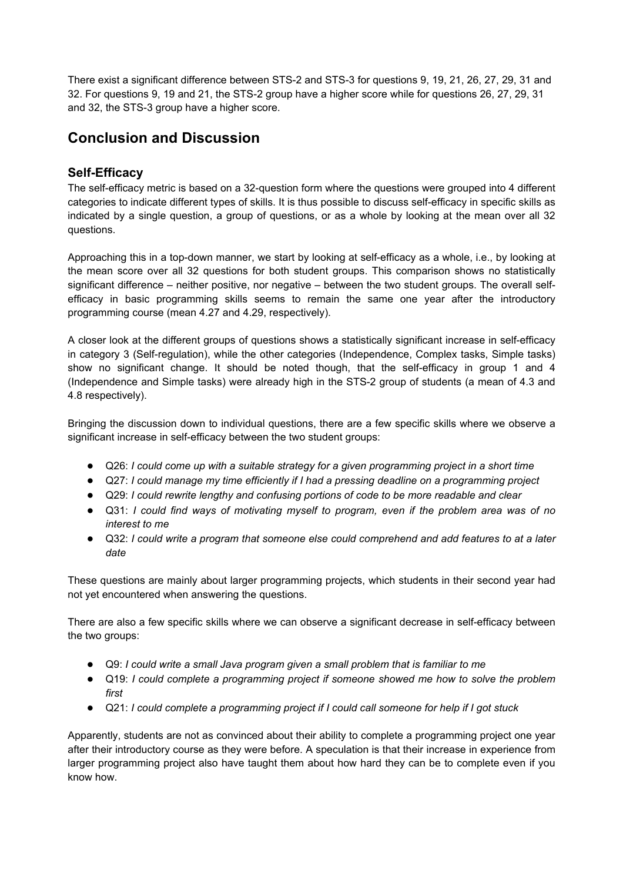There exist a significant difference between STS-2 and STS-3 for questions 9, 19, 21, 26, 27, 29, 31 and 32. For questions 9, 19 and 21, the STS-2 group have a higher score while for questions 26, 27, 29, 31 and 32, the STS-3 group have a higher score.

### **Conclusion and Discussion**

#### **Self-Efficacy**

The self-efficacy metric is based on a 32-question form where the questions were grouped into 4 different categories to indicate different types of skills. It is thus possible to discuss self-efficacy in specific skills as indicated by a single question, a group of questions, or as a whole by looking at the mean over all 32 questions.

Approaching this in a top-down manner, we start by looking at self-efficacy as a whole, i.e., by looking at the mean score over all 32 questions for both student groups. This comparison shows no statistically significant difference – neither positive, nor negative – between the two student groups. The overall selfefficacy in basic programming skills seems to remain the same one year after the introductory programming course (mean 4.27 and 4.29, respectively).

A closer look at the different groups of questions shows a statistically significant increase in self-efficacy in category 3 (Self-regulation), while the other categories (Independence, Complex tasks, Simple tasks) show no significant change. It should be noted though, that the self-efficacy in group 1 and 4 (Independence and Simple tasks) were already high in the STS-2 group of students (a mean of 4.3 and 4.8 respectively).

Bringing the discussion down to individual questions, there are a few specific skills where we observe a significant increase in self-efficacy between the two student groups:

- Q26: *I could come up with a suitable strategy for a given programming project in a short time*
- Q27: *I could manage my time efficiently if I had a pressing deadline on a programming project*
- Q29: *I could rewrite lengthy and confusing portions of code to be more readable and clear*
- Q31: *I could find ways of motivating myself to program, even if the problem area was of no interest to me*
- Q32: *I could write a program that someone else could comprehend and add features to at a later date*

These questions are mainly about larger programming projects, which students in their second year had not yet encountered when answering the questions.

There are also a few specific skills where we can observe a significant decrease in self-efficacy between the two groups:

- Q9: *I could write a small Java program given a small problem that is familiar to me*
- Q19: *I could complete a programming project if someone showed me how to solve the problem first*
- Q21: *I could complete a programming project if I could call someone for help if I got stuck*

Apparently, students are not as convinced about their ability to complete a programming project one year after their introductory course as they were before. A speculation is that their increase in experience from larger programming project also have taught them about how hard they can be to complete even if you know how.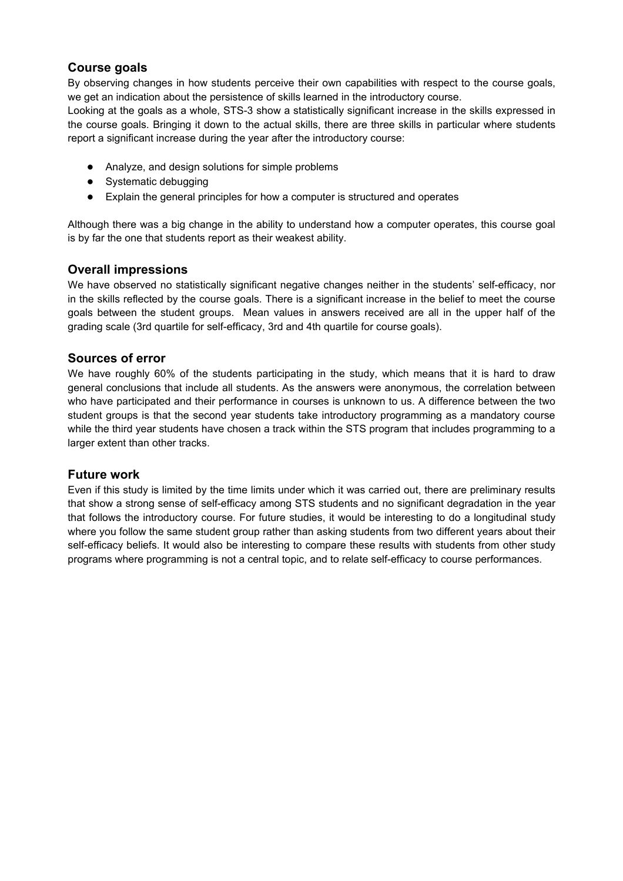#### **Course goals**

By observing changes in how students perceive their own capabilities with respect to the course goals, we get an indication about the persistence of skills learned in the introductory course.

Looking at the goals as a whole, STS-3 show a statistically significant increase in the skills expressed in the course goals. Bringing it down to the actual skills, there are three skills in particular where students report a significant increase during the year after the introductory course:

- Analyze, and design solutions for simple problems
- Systematic debugging
- Explain the general principles for how a computer is structured and operates

Although there was a big change in the ability to understand how a computer operates, this course goal is by far the one that students report as their weakest ability.

#### **Overall impressions**

We have observed no statistically significant negative changes neither in the students' self-efficacy, nor in the skills reflected by the course goals. There is a significant increase in the belief to meet the course goals between the student groups. Mean values in answers received are all in the upper half of the grading scale (3rd quartile for self-efficacy, 3rd and 4th quartile for course goals).

#### **Sources of error**

We have roughly 60% of the students participating in the study, which means that it is hard to draw general conclusions that include all students. As the answers were anonymous, the correlation between who have participated and their performance in courses is unknown to us. A difference between the two student groups is that the second year students take introductory programming as a mandatory course while the third year students have chosen a track within the STS program that includes programming to a larger extent than other tracks.

#### **Future work**

Even if this study is limited by the time limits under which it was carried out, there are preliminary results that show a strong sense of self-efficacy among STS students and no significant degradation in the year that follows the introductory course. For future studies, it would be interesting to do a longitudinal study where you follow the same student group rather than asking students from two different years about their self-efficacy beliefs. It would also be interesting to compare these results with students from other study programs where programming is not a central topic, and to relate self-efficacy to course performances.